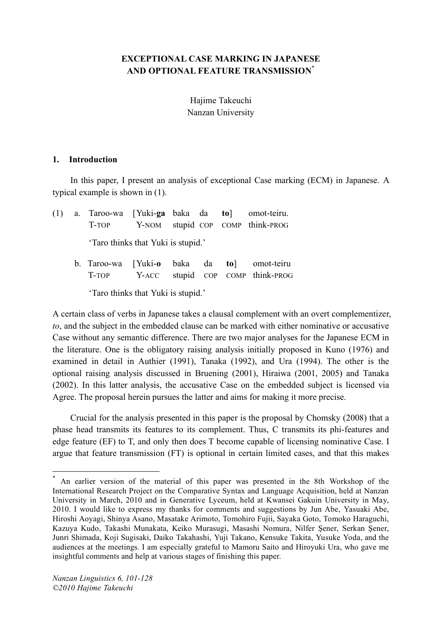## **EXCEPTIONAL CASE MARKING IN JAPANESE AND OPTIONAL FEATURE TRANSMISSION\***

Hajime Takeuchi Nanzan University

#### **1. Introduction**

In this paper, I present an analysis of exceptional Case marking (ECM) in Japanese. A typical example is shown in (1).

|  |                                    |  |  |  |  | (1) a. Taroo-wa [Yuki-ga baka da to] omot-teiru.<br>T-TOP Y-NOM stupid COP COMP think-PROG |  |  |
|--|------------------------------------|--|--|--|--|--------------------------------------------------------------------------------------------|--|--|
|  | 'Taro thinks that Yuki is stupid.' |  |  |  |  |                                                                                            |  |  |
|  |                                    |  |  |  |  | b. Taroo-wa [Yuki-o baka da to] omot-teiru<br>T-TOP Y-ACC stupid COP COMP think-PROG       |  |  |

'Taro thinks that Yuki is stupid.'

A certain class of verbs in Japanese takes a clausal complement with an overt complementizer, *to*, and the subject in the embedded clause can be marked with either nominative or accusative Case without any semantic difference. There are two major analyses for the Japanese ECM in the literature. One is the obligatory raising analysis initially proposed in Kuno (1976) and examined in detail in Authier (1991), Tanaka (1992), and Ura (1994). The other is the optional raising analysis discussed in Bruening (2001), Hiraiwa (2001, 2005) and Tanaka (2002). In this latter analysis, the accusative Case on the embedded subject is licensed via Agree. The proposal herein pursues the latter and aims for making it more precise.

Crucial for the analysis presented in this paper is the proposal by Chomsky (2008) that a phase head transmits its features to its complement. Thus, C transmits its phi-features and edge feature (EF) to T, and only then does T become capable of licensing nominative Case. I argue that feature transmission (FT) is optional in certain limited cases, and that this makes

An earlier version of the material of this paper was presented in the 8th Workshop of the International Research Project on the Comparative Syntax and Language Acquisition, held at Nanzan University in March, 2010 and in Generative Lyceum, held at Kwansei Gakuin University in May, 2010. I would like to express my thanks for comments and suggestions by Jun Abe, Yasuaki Abe, Hiroshi Aoyagi, Shinya Asano, Masatake Arimoto, Tomohiro Fujii, Sayaka Goto, Tomoko Haraguchi, Kazuya Kudo, Takashi Munakata, Keiko Murasugi, Masashi Nomura, Nilfer Şener, Serkan Şener, Junri Shimada, Koji Sugisaki, Daiko Takahashi, Yuji Takano, Kensuke Takita, Yusuke Yoda, and the audiences at the meetings. I am especially grateful to Mamoru Saito and Hiroyuki Ura, who gave me insightful comments and help at various stages of finishing this paper.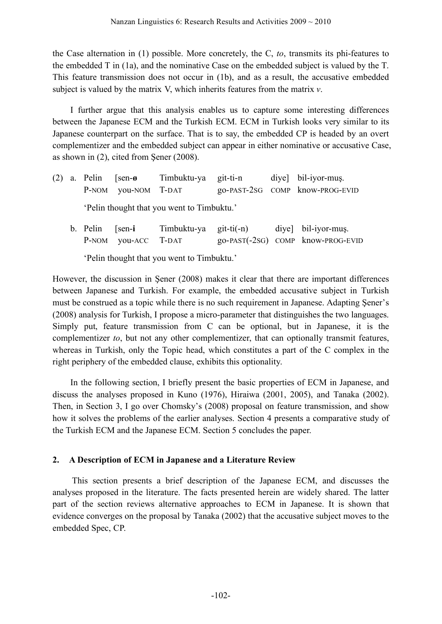the Case alternation in (1) possible. More concretely, the C, *to*, transmits its phi-features to the embedded T in (1a), and the nominative Case on the embedded subject is valued by the T. This feature transmission does not occur in (1b), and as a result, the accusative embedded subject is valued by the matrix V, which inherits features from the matrix *v*.

I further argue that this analysis enables us to capture some interesting differences between the Japanese ECM and the Turkish ECM. ECM in Turkish looks very similar to its Japanese counterpart on the surface. That is to say, the embedded CP is headed by an overt complementizer and the embedded subject can appear in either nominative or accusative Case, as shown in (2), cited from Şener (2008).

|  | $(2)$ a. Pelin [sen- $\boldsymbol{\theta}$ |                     | Timbuktu-ya git-ti-n |  | diye] bil-iyor-muş.             |
|--|--------------------------------------------|---------------------|----------------------|--|---------------------------------|
|  |                                            | P-NOM you-NOM T-DAT |                      |  | go-PAST-2SG COMP know-PROG-EVID |
|  | 'Pelin thought that you went to Timbuktu.' |                     |                      |  |                                 |

b. Pelin [sen-**i** Timbuktu-ya git-ti(-n) diye] bil-iyor-muş. P-NOM you-ACC T-DAT go-PAST(-2SG) COMP know-PROG-EVID

'Pelin thought that you went to Timbuktu.'

However, the discussion in Şener (2008) makes it clear that there are important differences between Japanese and Turkish. For example, the embedded accusative subject in Turkish must be construed as a topic while there is no such requirement in Japanese. Adapting Şener's (2008) analysis for Turkish, I propose a micro-parameter that distinguishes the two languages. Simply put, feature transmission from C can be optional, but in Japanese, it is the complementizer *to*, but not any other complementizer, that can optionally transmit features, whereas in Turkish, only the Topic head, which constitutes a part of the C complex in the right periphery of the embedded clause, exhibits this optionality.

In the following section, I briefly present the basic properties of ECM in Japanese, and discuss the analyses proposed in Kuno (1976), Hiraiwa (2001, 2005), and Tanaka (2002). Then, in Section 3, I go over Chomsky's (2008) proposal on feature transmission, and show how it solves the problems of the earlier analyses. Section 4 presents a comparative study of the Turkish ECM and the Japanese ECM. Section 5 concludes the paper.

# **2. A Description of ECM in Japanese and a Literature Review**

This section presents a brief description of the Japanese ECM, and discusses the analyses proposed in the literature. The facts presented herein are widely shared. The latter part of the section reviews alternative approaches to ECM in Japanese. It is shown that evidence converges on the proposal by Tanaka (2002) that the accusative subject moves to the embedded Spec, CP.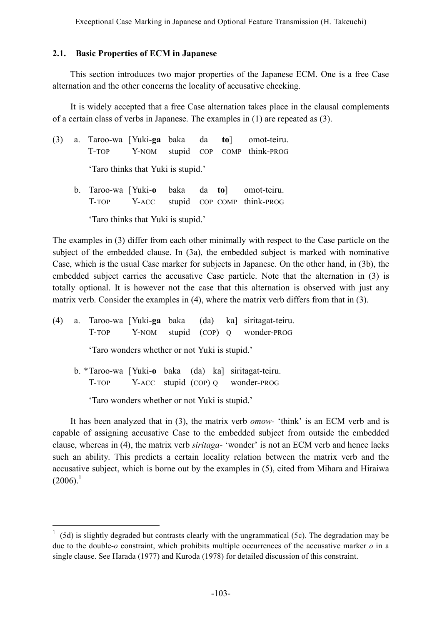### **2.1. Basic Properties of ECM in Japanese**

This section introduces two major properties of the Japanese ECM. One is a free Case alternation and the other concerns the locality of accusative checking.

It is widely accepted that a free Case alternation takes place in the clausal complements of a certain class of verbs in Japanese. The examples in (1) are repeated as (3).

|  |                                    |  | (3) a. Taroo-wa [Yuki-ga baka da to] omot-teiru.                                      |
|--|------------------------------------|--|---------------------------------------------------------------------------------------|
|  |                                    |  | T-TOP Y-NOM stupid COP COMP think-PROG                                                |
|  | 'Taro thinks that Yuki is stupid.' |  |                                                                                       |
|  |                                    |  | b. Taroo-wa [Yuki-o baka da to] omot-teiru.<br>T-TOP Y-ACC stupid COP COMP think-PROG |
|  |                                    |  |                                                                                       |

'Taro thinks that Yuki is stupid.'

The examples in (3) differ from each other minimally with respect to the Case particle on the subject of the embedded clause. In (3a), the embedded subject is marked with nominative Case, which is the usual Case marker for subjects in Japanese. On the other hand, in (3b), the embedded subject carries the accusative Case particle. Note that the alternation in (3) is totally optional. It is however not the case that this alternation is observed with just any matrix verb. Consider the examples in (4), where the matrix verb differs from that in (3).

(4) a. Taroo-wa [Yuki-**ga** baka (da) ka] siritagat-teiru. T-TOP Y-NOM stupid (COP) O wonder-PROG 'Taro wonders whether or not Yuki is stupid.' b. \*Taroo-wa [Yuki-**o** baka (da) ka] siritagat-teiru. T-TOP **Y-ACC** stupid (COP) Q wonder-PROG 'Taro wonders whether or not Yuki is stupid.'

It has been analyzed that in (3), the matrix verb *omow-* 'think' is an ECM verb and is capable of assigning accusative Case to the embedded subject from outside the embedded clause, whereas in (4), the matrix verb *siritaga-* 'wonder' is not an ECM verb and hence lacks such an ability. This predicts a certain locality relation between the matrix verb and the accusative subject, which is borne out by the examples in (5), cited from Mihara and Hiraiwa  $(2006).<sup>1</sup>$ 

 <sup>1</sup> (5d) is slightly degraded but contrasts clearly with the ungrammatical (5c). The degradation may be due to the double-*o* constraint, which prohibits multiple occurrences of the accusative marker *o* in a single clause. See Harada (1977) and Kuroda (1978) for detailed discussion of this constraint.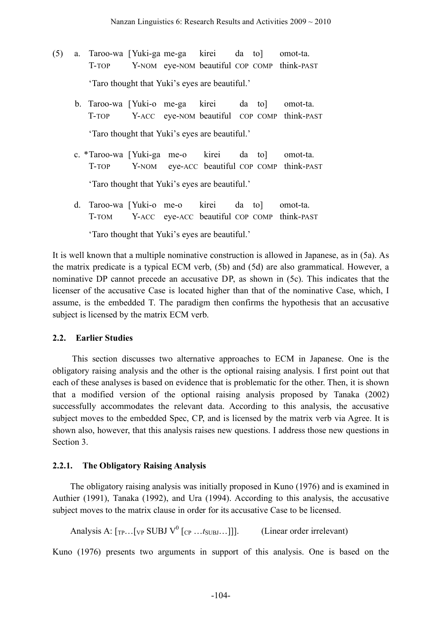- (5) a. Taroo-wa [Yuki-ga me-ga kirei da to] omot-ta. T-TOP Y-NOM eye-NOM beautiful COP COMP think-PAST 'Taro thought that Yuki's eyes are beautiful.'
	- b. Taroo-wa [Yuki-o me-ga kirei da to] omot-ta. T-TOP Y-ACC eye-NOM beautiful COP COMP think-PAST 'Taro thought that Yuki's eyes are beautiful.'
	- c. \*Taroo-wa [Yuki-ga me-o kirei da to] omot-ta. T-TOP Y-NOM eye-ACC beautiful COP COMP think-PAST 'Taro thought that Yuki's eyes are beautiful.'
	- d. Taroo-wa [Yuki-o me-o kirei da to] omot-ta. T-TOM [Y-ACC eye-ACC beautiful COP COMP think-PAST

'Taro thought that Yuki's eyes are beautiful.'

It is well known that a multiple nominative construction is allowed in Japanese, as in (5a). As the matrix predicate is a typical ECM verb, (5b) and (5d) are also grammatical. However, a nominative DP cannot precede an accusative DP, as shown in (5c). This indicates that the licenser of the accusative Case is located higher than that of the nominative Case, which, I assume, is the embedded T. The paradigm then confirms the hypothesis that an accusative subject is licensed by the matrix ECM verb.

### **2.2. Earlier Studies**

This section discusses two alternative approaches to ECM in Japanese. One is the obligatory raising analysis and the other is the optional raising analysis. I first point out that each of these analyses is based on evidence that is problematic for the other. Then, it is shown that a modified version of the optional raising analysis proposed by Tanaka (2002) successfully accommodates the relevant data. According to this analysis, the accusative subject moves to the embedded Spec, CP, and is licensed by the matrix verb via Agree. It is shown also, however, that this analysis raises new questions. I address those new questions in Section 3.

### **2.2.1. The Obligatory Raising Analysis**

The obligatory raising analysis was initially proposed in Kuno (1976) and is examined in Authier (1991), Tanaka (1992), and Ura (1994). According to this analysis, the accusative subject moves to the matrix clause in order for its accusative Case to be licensed.

Analysis A:  $[\text{TP} \dots [\text{VP} \text{SUBJ V}^0 \text{ [CP} \dots \text{f}_{SUBJ} \dots]]].$  (Linear order irrelevant)

Kuno (1976) presents two arguments in support of this analysis. One is based on the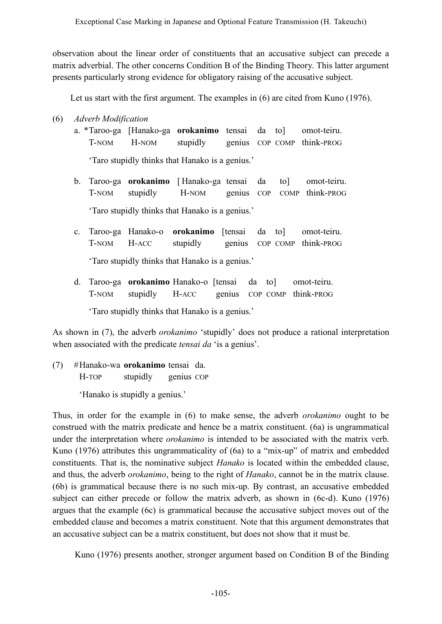observation about the linear order of constituents that an accusative subject can precede a matrix adverbial. The other concerns Condition B of the Binding Theory. This latter argument presents particularly strong evidence for obligatory raising of the accusative subject.

Let us start with the first argument. The examples in (6) are cited from Kuno (1976).

(6) *Adverb Modification*

a. \*Taroo-ga [Hanako-ga **orokanimo** tensai da to] omot-teiru. T-NOM H-NOM stupidly genius COP COMP think-PROG

'Taro stupidly thinks that Hanako is a genius.'

- b. Taroo-ga **orokanimo** [ Hanako-ga tensai da to] omot-teiru. T-NOM stupidly H-NOM genius COP COMP think-PROG 'Taro stupidly thinks that Hanako is a genius.'
- c. Taroo-ga Hanako-o **orokanimo** [tensai da to] omot-teiru. T-NOM H-ACC stupidly genius COP COMP think-PROG 'Taro stupidly thinks that Hanako is a genius.'
- d. Taroo-ga **orokanimo** Hanako-o [tensai da to] omot-teiru. T-NOM stupidly H-ACC genius COP COMP think-PROG 'Taro stupidly thinks that Hanako is a genius.'

As shown in (7), the adverb *orokanimo* 'stupidly' does not produce a rational interpretation when associated with the predicate *tensai da* 'is a genius'.

(7) #Hanako-wa **orokanimo** tensai da. H-TOP stupidly genius COP

'Hanako is stupidly a genius.'

Thus, in order for the example in (6) to make sense, the adverb *orokanimo* ought to be construed with the matrix predicate and hence be a matrix constituent. (6a) is ungrammatical under the interpretation where *orokanimo* is intended to be associated with the matrix verb. Kuno (1976) attributes this ungrammaticality of (6a) to a "mix-up" of matrix and embedded constituents. That is, the nominative subject *Hanako* is located within the embedded clause, and thus, the adverb *orokanimo*, being to the right of *Hanako*, cannot be in the matrix clause. (6b) is grammatical because there is no such mix-up. By contrast, an accusative embedded subject can either precede or follow the matrix adverb, as shown in (6c-d). Kuno (1976) argues that the example (6c) is grammatical because the accusative subject moves out of the embedded clause and becomes a matrix constituent. Note that this argument demonstrates that an accusative subject can be a matrix constituent, but does not show that it must be.

Kuno (1976) presents another, stronger argument based on Condition B of the Binding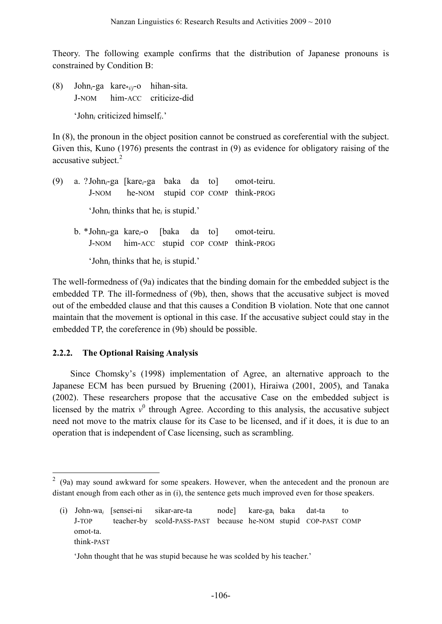Theory. The following example confirms that the distribution of Japanese pronouns is constrained by Condition B:

(8) John*i*-ga kare\**i*/*j*-o hihan-sita. J-NOM him-ACC criticize-did 'John*<sup>i</sup>* criticized himself*i*.'

In (8), the pronoun in the object position cannot be construed as coreferential with the subject. Given this, Kuno (1976) presents the contrast in (9) as evidence for obligatory raising of the accusative subject.<sup>2</sup>

- (9) a. ?John*i*-ga [kare*i*-ga baka da to] omot-teiru. J-NOM he-NOM stupid COP COMP think-PROG 'John*<sup>i</sup>* thinks that he*<sup>i</sup>* is stupid.'
	- b. \*John*i*-ga kare*i*-o [baka da to] omot-teiru. J-NOM him-ACC stupid COP COMP think-PROG 'John*<sup>i</sup>* thinks that he*<sup>i</sup>* is stupid.'

The well-formedness of (9a) indicates that the binding domain for the embedded subject is the embedded TP. The ill-formedness of (9b), then, shows that the accusative subject is moved out of the embedded clause and that this causes a Condition B violation. Note that one cannot maintain that the movement is optional in this case. If the accusative subject could stay in the embedded TP, the coreference in (9b) should be possible.

## **2.2.2. The Optional Raising Analysis**

Since Chomsky's (1998) implementation of Agree, an alternative approach to the Japanese ECM has been pursued by Bruening (2001), Hiraiwa (2001, 2005), and Tanaka (2002). These researchers propose that the accusative Case on the embedded subject is licensed by the matrix  $v^0$  through Agree. According to this analysis, the accusative subject need not move to the matrix clause for its Case to be licensed, and if it does, it is due to an operation that is independent of Case licensing, such as scrambling.

 $2\,$  (9a) may sound awkward for some speakers. However, when the antecedent and the pronoun are distant enough from each other as in (i), the sentence gets much improved even for those speakers.

<sup>(</sup>i) John-wa*<sup>i</sup>* [sensei-ni sikar-are-ta node] kare-gai baka dat-ta to J-TOP [teacher-by scold-PASS-PAST because he-NOM stupid COP-PAST COMP omot-ta. think-PAST

<sup>&#</sup>x27;John thought that he was stupid because he was scolded by his teacher.'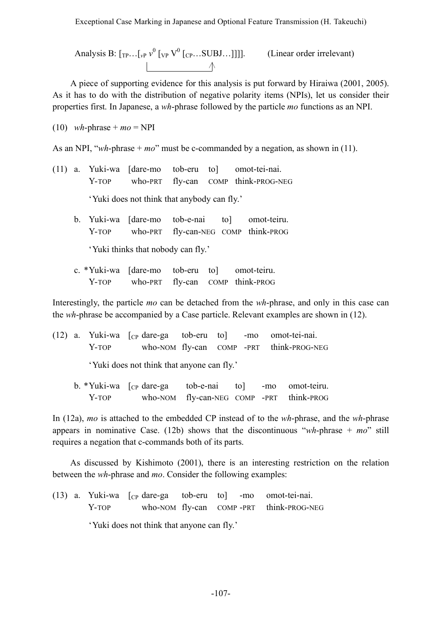Analysis B:  $[\text{TP} \dots [\text{VP} \text{V}^0 [\text{VP} \text{V}^0 [\text{CP} \dots \text{SUBJ} \dots]]]]$ . (Linear order irrelevant)  $\uparrow$   $\uparrow$ 

A piece of supporting evidence for this analysis is put forward by Hiraiwa (2001, 2005). As it has to do with the distribution of negative polarity items (NPIs), let us consider their properties first. In Japanese, a *wh*-phrase followed by the particle *mo* functions as an NPI.

 $(10)$  *wh*-phrase + *mo* = NPI

As an NPI, "*wh*-phrase + *mo*" must be c-commanded by a negation, as shown in (11).

- (11) a. Yuki-wa [dare-mo tob-eru to] omot-tei-nai. Y-TOP who-PRT fly-can COMP think-PROG-NEG 'Yuki does not think that anybody can fly.'
	- b. Yuki-wa [dare-mo tob-e-nai to] omot-teiru. Y-TOP who-PRT fly-can-NEG COMP think-PROG 'Yuki thinks that nobody can fly.'
	- c. \*Yuki-wa [dare-mo tob-eru to] omot-teiru. Y-TOP who-PRT fly-can COMP think-PROG

Interestingly, the particle *mo* can be detached from the *wh*-phrase, and only in this case can the *wh*-phrase be accompanied by a Case particle. Relevant examples are shown in (12).

(12) a. Yuki-wa [CP dare-ga tob-eru to] -mo omot-tei-nai. Y-TOP who-NOM fly-can COMP -PRT think-PROG-NEG

'Yuki does not think that anyone can fly.'

 $b. *Yuki-wa$   $[<sub>CP</sub> dare-ga$  tob-e-nai to -mo omot-teiru. Y-TOP who-NOM fly-can-NEG COMP -PRT think-PROG

In (12a), *mo* is attached to the embedded CP instead of to the *wh*-phrase, and the *wh*-phrase appears in nominative Case. (12b) shows that the discontinuous "*wh*-phrase + *mo*" still requires a negation that c-commands both of its parts.

As discussed by Kishimoto (2001), there is an interesting restriction on the relation between the *wh*-phrase and *mo*. Consider the following examples:

(13) a. Yuki-wa [CP dare-ga tob-eru to] -mo omot-tei-nai. Y-TOP who-NOM fly-can COMP-PRT think-PROG-NEG 'Yuki does not think that anyone can fly.'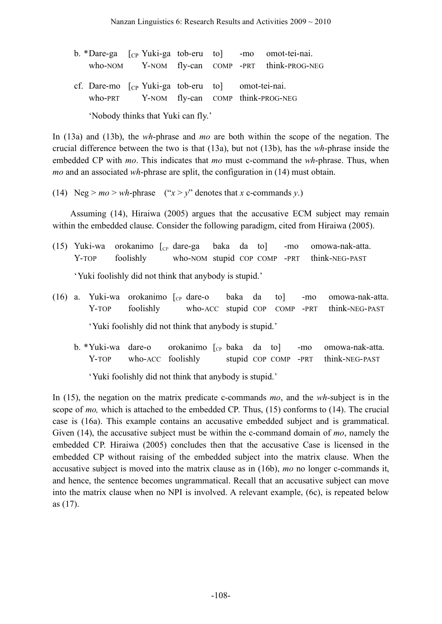|                                    |  |                                                                                                                 |  |  |  | b. *Dare-ga [cp Yuki-ga tob-eru to] -mo omot-tei-nai. |  |  |  |
|------------------------------------|--|-----------------------------------------------------------------------------------------------------------------|--|--|--|-------------------------------------------------------|--|--|--|
|                                    |  |                                                                                                                 |  |  |  | who-NOM Y-NOM fly-can COMP -PRT think-PROG-NEG        |  |  |  |
|                                    |  | cf. Dare-mo $\lceil$ <sub>CP</sub> Yuki-ga tob-eru to mot-tei-nai.<br>who-PRT Y-NOM fly-can COMP think-PROG-NEG |  |  |  |                                                       |  |  |  |
| 'Nobody thinks that Yuki can fly.' |  |                                                                                                                 |  |  |  |                                                       |  |  |  |

In (13a) and (13b), the *wh*-phrase and *mo* are both within the scope of the negation. The crucial difference between the two is that (13a), but not (13b), has the *wh*-phrase inside the embedded CP with *mo*. This indicates that *mo* must c-command the *wh*-phrase. Thus, when *mo* and an associated *wh*-phrase are split, the configuration in (14) must obtain.

(14) Neg >  $mo$  >  $wh$ -phrase (" $x$  >  $v$ " denotes that *x* c-commands *v*.)

Assuming (14), Hiraiwa (2005) argues that the accusative ECM subject may remain within the embedded clause. Consider the following paradigm, cited from Hiraiwa (2005).

- (15) Yuki-wa orokanimo  $\begin{bmatrix} C_P \end{bmatrix}$  dare-ga baka da to -mo omowa-nak-atta. Y-TOP foolishly who-NOM stupid COP COMP -PRT think-NEG-PAST 'Yuki foolishly did not think that anybody is stupid.'
- (16) a. Yuki-wa orokanimo  $\int_{C_P}$  dare-o baka da to  $\int_{C_P}$  -mo omowa-nak-atta. Y-TOP foolishly who-ACC stupid COP COMP -PRT think-NEG-PAST 'Yuki foolishly did not think that anybody is stupid.'
	- b. \*Yuki-wa dare-o orokanimo  $\begin{bmatrix} C_P \\ R \end{bmatrix}$  baka da to  $\begin{bmatrix} \text{--}mO \\ \text{--}mO \end{bmatrix}$  omowa-nak-atta. Y-TOP who-ACC foolishly stupid COP COMP -PRT think-NEG-PAST

'Yuki foolishly did not think that anybody is stupid.'

In (15), the negation on the matrix predicate c-commands *mo*, and the *wh*-subject is in the scope of *mo,* which is attached to the embedded CP. Thus, (15) conforms to (14). The crucial case is (16a). This example contains an accusative embedded subject and is grammatical. Given (14), the accusative subject must be within the c-command domain of *mo*, namely the embedded CP. Hiraiwa (2005) concludes then that the accusative Case is licensed in the embedded CP without raising of the embedded subject into the matrix clause. When the accusative subject is moved into the matrix clause as in (16b), *mo* no longer c-commands it, and hence, the sentence becomes ungrammatical. Recall that an accusative subject can move into the matrix clause when no NPI is involved. A relevant example, (6c), is repeated below as (17).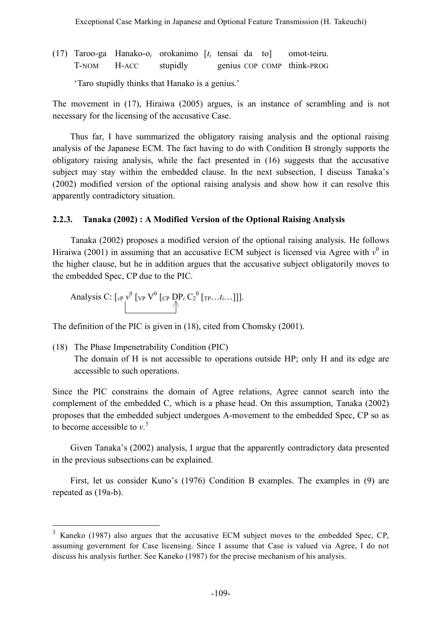(17) Taroo-ga Hanako-o*<sup>i</sup>* orokanimo [*ti* tensai da to] omot-teiru. T-NOM H-ACC stupidly genius COP COMP think-PROG

'Taro stupidly thinks that Hanako is a genius.'

The movement in (17), Hiraiwa (2005) argues, is an instance of scrambling and is not necessary for the licensing of the accusative Case.

Thus far, I have summarized the obligatory raising analysis and the optional raising analysis of the Japanese ECM. The fact having to do with Condition B strongly supports the obligatory raising analysis, while the fact presented in (16) suggests that the accusative subject may stay within the embedded clause. In the next subsection, I discuss Tanaka's (2002) modified version of the optional raising analysis and show how it can resolve this apparently contradictory situation.

## **2.2.3. Tanaka (2002) : A Modified Version of the Optional Raising Analysis**

Tanaka (2002) proposes a modified version of the optional raising analysis. He follows Hiraiwa (2001) in assuming that an accusative ECM subject is licensed via Agree with  $v^0$  in the higher clause, but he in addition argues that the accusative subject obligatorily moves to the embedded Spec, CP due to the PIC.

Analysis C: 
$$
\left[\int_{V} \mathcal{V}^0 \left[\int_{V} V^0 \left[\int_{V} P_t \mathcal{V}^0 \left[\int_{V} P_t \mathcal{V}^0 \left[\int_{V} P_{t} \dots \mathcal{V}^0 \left[\int_{V} P_{t} \dots \mathcal{V}^0 \left[\int_{V} P_{t} \dots \mathcal{V}^0 \left[\int_{V} P_{t} \dots \mathcal{V}^0 \left[\int_{V} P_{t} \dots \mathcal{V}^0 \left[\int_{V} P_{t} \dots \mathcal{V}^0 \left[\int_{V} P_{t} \dots \mathcal{V}^0 \left[\int_{V} P_{t} \dots \mathcal{V}^0 \left[\int_{V} P_{t} \dots \mathcal{V}^0 \left[\int_{V} P_{t} \dots \mathcal{V}^0 \left[\int_{V} P_{t} \dots \mathcal{V}^0 \left[\int_{V} P_{t} \dots \mathcal{V}^0 \left[\int_{V} P_{t} \dots \mathcal{V}^0 \left[\int_{V} P_{t} \dots \mathcal{V}^0 \left[\int_{V} P_{t} \dots \mathcal{V}^0 \left[\int_{V} P_{t} \dots \mathcal{V}^0 \left[\int_{V} P_{t} \dots \mathcal{V}^0 \left[\int_{V} P_{t} \dots \mathcal{V}^0 \left[\int_{V} P_{t} \dots \mathcal{V}^0 \left[\int_{V} P_{t} \dots \mathcal{V}^0 \left[\int_{V} P_{t} \dots \mathcal{V}^0 \left[\int_{V} P_{t} \dots \mathcal{V}^0 \left[\int_{V} P_{t} \dots \mathcal{V}^0 \left[\int_{V} P_{t} \dots \mathcal{V}^0 \left[\int_{V} P_{t} \dots \mathcal{V}^0 \left[\int_{V} P_{t} \dots \mathcal{V}^0 \left[\int_{V} P_{t} \dots \mathcal{V}^0 \left[\int_{V} P_{t} \dots \mathcal{V}^0 \left[\int_{V} P_{t} \dots \mathcal{V}^0 \left[\int_{V} P_{t} \dots \mathcal{V}^0 \left[\int_{V} P_{t} \dots \mathcal{V}^0 \left[\int_{V} P_{t} \dots \mathcal{V}^0 \left[\int_{V} P_{t} \dots \mathcal{V}^0 \left[\int_{
$$

The definition of the PIC is given in (18), cited from Chomsky (2001).

(18) The Phase Impenetrability Condition (PIC)

The domain of H is not accessible to operations outside HP; only H and its edge are accessible to such operations.

Since the PIC constrains the domain of Agree relations, Agree cannot search into the complement of the embedded C, which is a phase head. On this assumption, Tanaka (2002) proposes that the embedded subject undergoes A-movement to the embedded Spec, CP so as to become accessible to *v*. 3

Given Tanaka's (2002) analysis, I argue that the apparently contradictory data presented in the previous subsections can be explained.

First, let us consider Kuno's (1976) Condition B examples. The examples in (9) are repeated as (19a-b).

 <sup>3</sup> Kaneko (1987) also argues that the accusative ECM subject moves to the embedded Spec, CP, assuming government for Case licensing. Since I assume that Case is valued via Agree, I do not discuss his analysis further. See Kaneko (1987) for the precise mechanism of his analysis.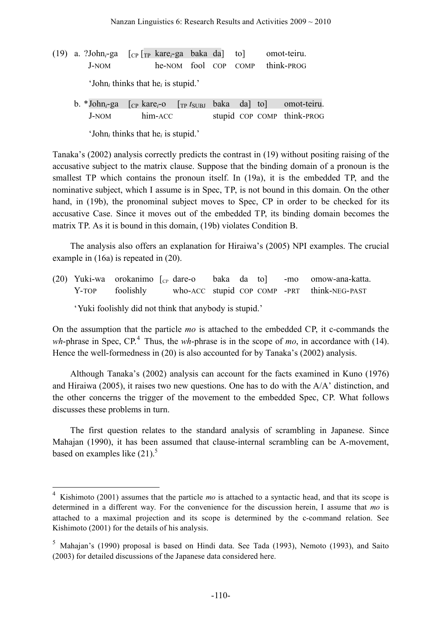(19) a. ?John*i*-ga [CP [TP kare*i*-ga baka da] to] omot-teiru. J-NOM he-NOM fool COP COMP think-PROG

'John*<sup>i</sup>* thinks that he*<sup>i</sup>* is stupid.'

b. \*John*i*-ga [CP kare*i*-o [TP *t*SUBJ baka da] to] omot-teiru. J-NOM him-ACC stupid COP COMP think-PROG

'John*<sup>i</sup>* thinks that he*<sup>i</sup>* is stupid.'

Tanaka's (2002) analysis correctly predicts the contrast in (19) without positing raising of the accusative subject to the matrix clause. Suppose that the binding domain of a pronoun is the smallest TP which contains the pronoun itself. In (19a), it is the embedded TP, and the nominative subject, which I assume is in Spec, TP, is not bound in this domain. On the other hand, in (19b), the pronominal subject moves to Spec, CP in order to be checked for its accusative Case. Since it moves out of the embedded TP, its binding domain becomes the matrix TP. As it is bound in this domain, (19b) violates Condition B.

The analysis also offers an explanation for Hiraiwa's (2005) NPI examples. The crucial example in (16a) is repeated in (20).

(20) Yuki-wa orokanimo  $\begin{bmatrix} C_P \end{bmatrix}$  dare-o baka da to -mo omow-ana-katta. Y-TOP foolishly who-ACC stupid COP COMP -PRT think-NEG-PAST 'Yuki foolishly did not think that anybody is stupid.'

On the assumption that the particle *mo* is attached to the embedded CP, it c-commands the *wh*-phrase in Spec, CP. <sup>4</sup> Thus, the *wh*-phrase is in the scope of *mo*, in accordance with (14). Hence the well-formedness in (20) is also accounted for by Tanaka's (2002) analysis.

Although Tanaka's (2002) analysis can account for the facts examined in Kuno (1976) and Hiraiwa (2005), it raises two new questions. One has to do with the A/A' distinction, and the other concerns the trigger of the movement to the embedded Spec, CP. What follows discusses these problems in turn.

The first question relates to the standard analysis of scrambling in Japanese. Since Mahajan (1990), it has been assumed that clause-internal scrambling can be A-movement, based on examples like  $(21)$ .<sup>5</sup>

 <sup>4</sup> Kishimoto (2001) assumes that the particle *mo* is attached to a syntactic head, and that its scope is determined in a different way. For the convenience for the discussion herein, I assume that *mo* is attached to a maximal projection and its scope is determined by the c-command relation. See Kishimoto (2001) for the details of his analysis.

 $5$  Mahajan's (1990) proposal is based on Hindi data. See Tada (1993), Nemoto (1993), and Saito (2003) for detailed discussions of the Japanese data considered here.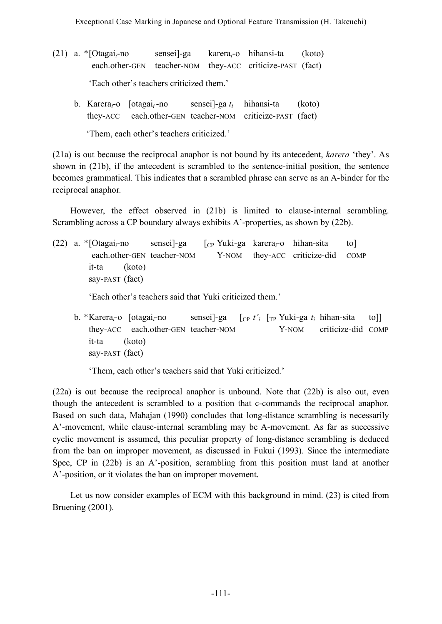- (21) a. \*[Otagai*i*-no sensei]-ga karera*i*-o hihansi-ta (koto) each.other-GEN teacher-NOM they-ACC criticize-PAST (fact) 'Each other's teachers criticized them.'
	- b. Karera*i*-o [otagai*i*-no sensei]-ga *ti* hihansi-ta (koto) they-ACC each.other-GEN teacher-NOM criticize-PAST (fact)

'Them, each other's teachers criticized.'

(21a) is out because the reciprocal anaphor is not bound by its antecedent, *karera* 'they'. As shown in (21b), if the antecedent is scrambled to the sentence-initial position, the sentence becomes grammatical. This indicates that a scrambled phrase can serve as an A-binder for the reciprocal anaphor.

However, the effect observed in (21b) is limited to clause-internal scrambling. Scrambling across a CP boundary always exhibits A'-properties, as shown by (22b).

(22) a. \*[Otagai*i*-no sensei]-ga [CP Yuki-ga karera*i*-o hihan-sita to] each.other-GEN teacher-NOM Y-NOM they-ACC criticize-did COMP it-ta (koto) say-PAST (fact)

'Each other's teachers said that Yuki criticized them.'

b. \*Karera*i*-o [otagai*i*-no sensei]-ga [CP *t'i* [TP Yuki-ga *ti* hihan-sita to]] they-ACC [each.other-GEN teacher-NOM [TP Y-NOM criticize-did COMP it-ta (koto) say-PAST (fact)

'Them, each other's teachers said that Yuki criticized.'

(22a) is out because the reciprocal anaphor is unbound. Note that (22b) is also out, even though the antecedent is scrambled to a position that c-commands the reciprocal anaphor. Based on such data, Mahajan (1990) concludes that long-distance scrambling is necessarily A'-movement, while clause-internal scrambling may be A-movement. As far as successive cyclic movement is assumed, this peculiar property of long-distance scrambling is deduced from the ban on improper movement, as discussed in Fukui (1993). Since the intermediate Spec, CP in (22b) is an A'-position, scrambling from this position must land at another A'-position, or it violates the ban on improper movement.

Let us now consider examples of ECM with this background in mind. (23) is cited from Bruening (2001).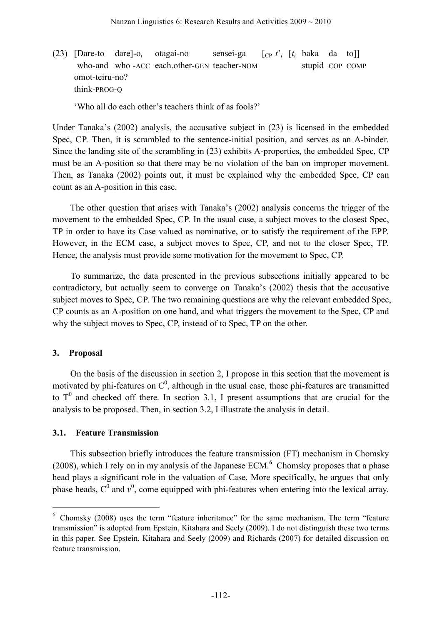(23) [Dare-to dare]- $o_i$  otagai-no sensei-ga  $[_{CP} t_i^j [t_i]$  baka da to]] who-and who-ACC each.other-GEN teacher-NOM stupid COP COMP omot-teiru-no? think-PROG-Q

'Who all do each other's teachers think of as fools?'

Under Tanaka's (2002) analysis, the accusative subject in (23) is licensed in the embedded Spec, CP. Then, it is scrambled to the sentence-initial position, and serves as an A-binder. Since the landing site of the scrambling in (23) exhibits A-properties, the embedded Spec, CP must be an A-position so that there may be no violation of the ban on improper movement. Then, as Tanaka (2002) points out, it must be explained why the embedded Spec, CP can count as an A-position in this case.

The other question that arises with Tanaka's (2002) analysis concerns the trigger of the movement to the embedded Spec, CP. In the usual case, a subject moves to the closest Spec, TP in order to have its Case valued as nominative, or to satisfy the requirement of the EPP. However, in the ECM case, a subject moves to Spec, CP, and not to the closer Spec, TP. Hence, the analysis must provide some motivation for the movement to Spec, CP.

To summarize, the data presented in the previous subsections initially appeared to be contradictory, but actually seem to converge on Tanaka's (2002) thesis that the accusative subject moves to Spec, CP. The two remaining questions are why the relevant embedded Spec, CP counts as an A-position on one hand, and what triggers the movement to the Spec, CP and why the subject moves to Spec, CP, instead of to Spec, TP on the other.

#### **3. Proposal**

On the basis of the discussion in section 2, I propose in this section that the movement is motivated by phi-features on  $C^0$ , although in the usual case, those phi-features are transmitted to  $T<sup>0</sup>$  and checked off there. In section 3.1, I present assumptions that are crucial for the analysis to be proposed. Then, in section 3.2, I illustrate the analysis in detail.

#### **3.1. Feature Transmission**

This subsection briefly introduces the feature transmission (FT) mechanism in Chomsky (2008), which I rely on in my analysis of the Japanese ECM. **<sup>6</sup>** Chomsky proposes that a phase head plays a significant role in the valuation of Case. More specifically, he argues that only phase heads,  $C^0$  and  $v^0$ , come equipped with phi-features when entering into the lexical array.

 $6$  Chomsky (2008) uses the term "feature inheritance" for the same mechanism. The term "feature transmission" is adopted from Epstein, Kitahara and Seely (2009). I do not distinguish these two terms in this paper. See Epstein, Kitahara and Seely (2009) and Richards (2007) for detailed discussion on feature transmission.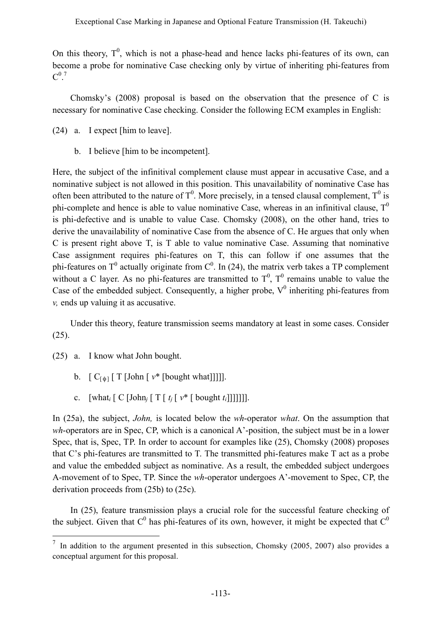On this theory,  $T^0$ , which is not a phase-head and hence lacks phi-features of its own, can become a probe for nominative Case checking only by virtue of inheriting phi-features from  $\mathrm{C}^{0.7}$ 

Chomsky's (2008) proposal is based on the observation that the presence of C is necessary for nominative Case checking. Consider the following ECM examples in English:

- (24) a. I expect [him to leave].
	- b. I believe [him to be incompetent].

Here, the subject of the infinitival complement clause must appear in accusative Case, and a nominative subject is not allowed in this position. This unavailability of nominative Case has often been attributed to the nature of  $T^0$ . More precisely, in a tensed clausal complement,  $T^0$  is phi-complete and hence is able to value nominative Case, whereas in an infinitival clause,  $T^0$ is phi-defective and is unable to value Case. Chomsky (2008), on the other hand, tries to derive the unavailability of nominative Case from the absence of C. He argues that only when C is present right above T, is T able to value nominative Case. Assuming that nominative Case assignment requires phi-features on T, this can follow if one assumes that the phi-features on T<sup>0</sup> actually originate from  $C^0$ . In (24), the matrix verb takes a TP complement without a C layer. As no phi-features are transmitted to  $T<sup>0</sup>$ ,  $T<sup>0</sup>$  remains unable to value the Case of the embedded subject. Consequently, a higher probe,  $V^0$  inheriting phi-features from *v,* ends up valuing it as accusative.

Under this theory, feature transmission seems mandatory at least in some cases. Consider (25).

- (25) a. I know what John bought.
	- b.  $[C_{\lceil \phi \rceil}] T$  [John  $\lceil v^* \rceil$  [bought what]]]].
	- c.  $\lceil \text{what}_i \rceil \text{ C } \lceil \text{John}_i \rceil \text{ T } \lceil t_i \rceil v^* \rceil \text{ bought } t_i \rceil \rceil \rceil \rceil \rceil \rceil.$

In (25a), the subject, *John,* is located below the *wh*-operator *what*. On the assumption that *wh*-operators are in Spec, CP, which is a canonical A'-position, the subject must be in a lower Spec, that is, Spec, TP. In order to account for examples like (25), Chomsky (2008) proposes that C's phi-features are transmitted to T. The transmitted phi-features make T act as a probe and value the embedded subject as nominative. As a result, the embedded subject undergoes A-movement of to Spec, TP. Since the *wh*-operator undergoes A'-movement to Spec, CP, the derivation proceeds from (25b) to (25c).

In (25), feature transmission plays a crucial role for the successful feature checking of the subject. Given that  $C^0$  has phi-features of its own, however, it might be expected that  $C^0$ 

 $\frac{7}{1}$  In addition to the argument presented in this subsection, Chomsky (2005, 2007) also provides a conceptual argument for this proposal.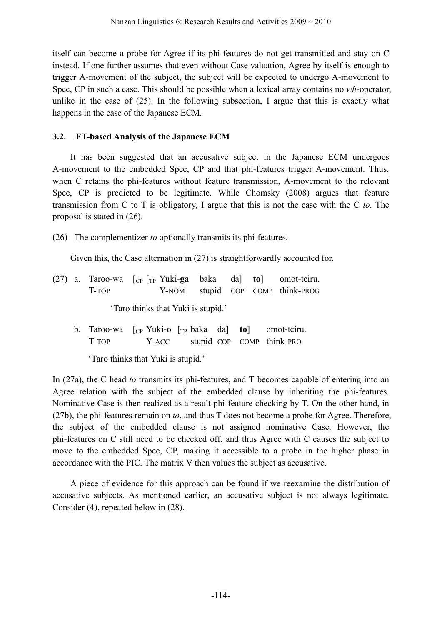itself can become a probe for Agree if its phi-features do not get transmitted and stay on C instead. If one further assumes that even without Case valuation, Agree by itself is enough to trigger A-movement of the subject, the subject will be expected to undergo A-movement to Spec, CP in such a case. This should be possible when a lexical array contains no *wh*-operator, unlike in the case of (25). In the following subsection, I argue that this is exactly what happens in the case of the Japanese ECM.

## **3.2. FT-based Analysis of the Japanese ECM**

It has been suggested that an accusative subject in the Japanese ECM undergoes A-movement to the embedded Spec, CP and that phi-features trigger A-movement. Thus, when C retains the phi-features without feature transmission, A-movement to the relevant Spec, CP is predicted to be legitimate. While Chomsky (2008) argues that feature transmission from C to T is obligatory, I argue that this is not the case with the C *to*. The proposal is stated in (26).

(26) The complementizer *to* optionally transmits its phi-features.

Given this, the Case alternation in  $(27)$  is straightforwardly accounted for.

- (27) a. Taroo-wa [CP [TP Yuki-**ga** baka da] **to**] omot-teiru. T-TOP Y-NOM stupid COP COMP think-PROG 'Taro thinks that Yuki is stupid.'
	- b. Taroo-wa [CP Yuki-**o** [TP baka da] **to**] omot-teiru. T-TOP Y-ACC stupid COP COMP think-PRO

'Taro thinks that Yuki is stupid.'

In (27a), the C head *to* transmits its phi-features, and T becomes capable of entering into an Agree relation with the subject of the embedded clause by inheriting the phi-features. Nominative Case is then realized as a result phi-feature checking by T. On the other hand, in (27b), the phi-features remain on *to*, and thus T does not become a probe for Agree. Therefore, the subject of the embedded clause is not assigned nominative Case. However, the phi-features on C still need to be checked off, and thus Agree with C causes the subject to move to the embedded Spec, CP, making it accessible to a probe in the higher phase in accordance with the PIC. The matrix V then values the subject as accusative.

A piece of evidence for this approach can be found if we reexamine the distribution of accusative subjects. As mentioned earlier, an accusative subject is not always legitimate. Consider (4), repeated below in (28).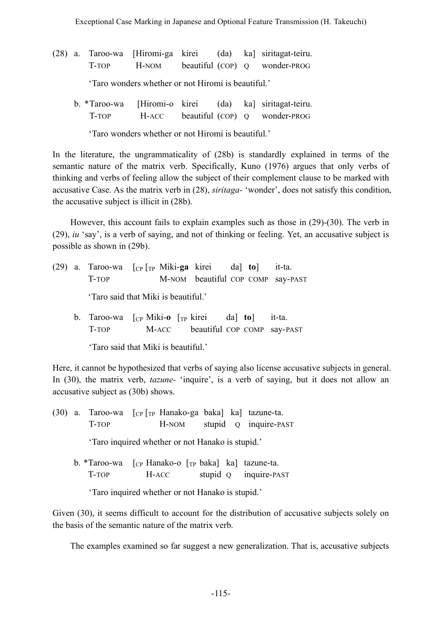(28) a. Taroo-wa [Hiromi-ga kirei (da) ka] siritagat-teiru. T-TOP H-NOM beautiful (COP) Q wonder-PROG

'Taro wonders whether or not Hiromi is beautiful.'

b. \*Taroo-wa [Hiromi-o kirei (da) ka] siritagat-teiru. T-TOP H-ACC beautiful (COP) Q wonder-PROG

'Taro wonders whether or not Hiromi is beautiful.'

In the literature, the ungrammaticality of (28b) is standardly explained in terms of the semantic nature of the matrix verb. Specifically, Kuno (1976) argues that only verbs of thinking and verbs of feeling allow the subject of their complement clause to be marked with accusative Case. As the matrix verb in (28), *siritaga-* 'wonder', does not satisfy this condition, the accusative subject is illicit in (28b).

However, this account fails to explain examples such as those in (29)-(30). The verb in (29), *iu* 'say', is a verb of saying, and not of thinking or feeling. Yet, an accusative subject is possible as shown in (29b).

- (29) a. Taroo-wa [CP [TP Miki-**ga** kirei da] **to**] it-ta. T-TOP M-NOM beautiful COP COMP say-PAST 'Taro said that Miki is beautiful.'
	- b. Taroo-wa [CP Miki-**o** [TP kirei da] **to**] it-ta. T-TOP M-ACC beautiful COP COMP say-PAST

'Taro said that Miki is beautiful.'

Here, it cannot be hypothesized that verbs of saying also license accusative subjects in general. In (30), the matrix verb, *tazune-* 'inquire', is a verb of saying, but it does not allow an accusative subject as (30b) shows.

|                                                  | (30) a. Taroo-wa $\lbrack_{\text{CP}}\rbrack_{\text{TP}}$ Hanako-ga baka] ka] tazune-ta. |       |       |  |  |                       |  |  |  |
|--------------------------------------------------|------------------------------------------------------------------------------------------|-------|-------|--|--|-----------------------|--|--|--|
|                                                  | T-TOP                                                                                    |       | H-NOM |  |  | stupid Q inquire-PAST |  |  |  |
|                                                  | 'Taro inquired whether or not Hanako is stupid.'                                         |       |       |  |  |                       |  |  |  |
|                                                  | b. *Taroo-wa $\lceil_{CP}$ Hanako-o $\lceil_{TP}$ baka] ka] tazune-ta.                   |       |       |  |  |                       |  |  |  |
|                                                  | T-TOP                                                                                    | H-ACC |       |  |  | stupid Q inquire-PAST |  |  |  |
| 'Taro inquired whether or not Hanako is stupid.' |                                                                                          |       |       |  |  |                       |  |  |  |

Given (30), it seems difficult to account for the distribution of accusative subjects solely on the basis of the semantic nature of the matrix verb.

The examples examined so far suggest a new generalization. That is, accusative subjects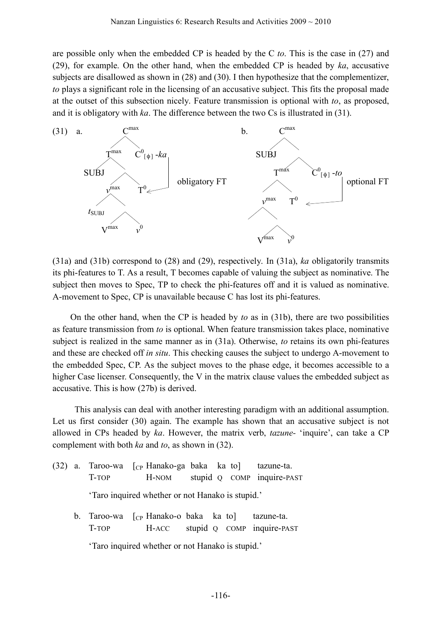are possible only when the embedded CP is headed by the C *to*. This is the case in (27) and (29), for example. On the other hand, when the embedded CP is headed by *ka*, accusative subjects are disallowed as shown in (28) and (30). I then hypothesize that the complementizer, *to* plays a significant role in the licensing of an accusative subject. This fits the proposal made at the outset of this subsection nicely. Feature transmission is optional with *to*, as proposed, and it is obligatory with *ka*. The difference between the two Cs is illustrated in (31).



(31a) and (31b) correspond to (28) and (29), respectively. In (31a), *ka* obligatorily transmits its phi-features to T. As a result, T becomes capable of valuing the subject as nominative. The subject then moves to Spec, TP to check the phi-features off and it is valued as nominative. A-movement to Spec, CP is unavailable because C has lost its phi-features.

On the other hand, when the CP is headed by *to* as in (31b), there are two possibilities as feature transmission from *to* is optional. When feature transmission takes place, nominative subject is realized in the same manner as in (31a). Otherwise, *to* retains its own phi-features and these are checked off *in situ*. This checking causes the subject to undergo A-movement to the embedded Spec, CP. As the subject moves to the phase edge, it becomes accessible to a higher Case licenser. Consequently, the V in the matrix clause values the embedded subject as accusative. This is how (27b) is derived.

This analysis can deal with another interesting paradigm with an additional assumption. Let us first consider (30) again. The example has shown that an accusative subject is not allowed in CPs headed by *ka*. However, the matrix verb, *tazune-* 'inquire', can take a CP complement with both *ka* and *to*, as shown in (32).

- (32) a. Taroo-wa  $\lceil$  (c<sub>P</sub> Hanako-ga baka ka to a tazune-ta. T-TOP H-NOM stupid Q COMP inquire-PAST 'Taro inquired whether or not Hanako is stupid.'
	- b. Taroo-wa [cp Hanako-o baka ka to] tazune-ta. T-TOP H-ACC stupid Q COMP inquire-PAST

'Taro inquired whether or not Hanako is stupid.'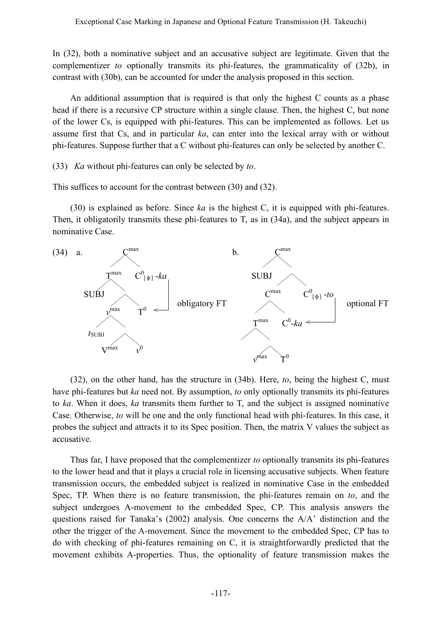In (32), both a nominative subject and an accusative subject are legitimate. Given that the complementizer *to* optionally transmits its phi-features, the grammaticality of (32b), in contrast with (30b), can be accounted for under the analysis proposed in this section.

An additional assumption that is required is that only the highest C counts as a phase head if there is a recursive CP structure within a single clause. Then, the highest C, but none of the lower Cs, is equipped with phi-features. This can be implemented as follows. Let us assume first that Cs, and in particular *ka*, can enter into the lexical array with or without phi-features. Suppose further that a C without phi-features can only be selected by another C.

(33) *Ka* without phi-features can only be selected by *to*.

This suffices to account for the contrast between (30) and (32).

(30) is explained as before. Since *ka* is the highest C, it is equipped with phi-features. Then, it obligatorily transmits these phi-features to T, as in (34a), and the subject appears in nominative Case.



(32), on the other hand, has the structure in (34b). Here, *to*, being the highest C, must have phi-features but *ka* need not. By assumption, *to* only optionally transmits its phi-features to *ka*. When it does, *ka* transmits them further to T, and the subject is assigned nominative Case. Otherwise, *to* will be one and the only functional head with phi-features. In this case, it probes the subject and attracts it to its Spec position. Then, the matrix V values the subject as accusative.

Thus far, I have proposed that the complementizer *to* optionally transmits its phi-features to the lower head and that it plays a crucial role in licensing accusative subjects. When feature transmission occurs, the embedded subject is realized in nominative Case in the embedded Spec, TP. When there is no feature transmission, the phi-features remain on *to*, and the subject undergoes A-movement to the embedded Spec, CP. This analysis answers the questions raised for Tanaka's (2002) analysis. One concerns the A/A' distinction and the other the trigger of the A-movement. Since the movement to the embedded Spec, CP has to do with checking of phi-features remaining on C, it is straightforwardly predicted that the movement exhibits A-properties. Thus, the optionality of feature transmission makes the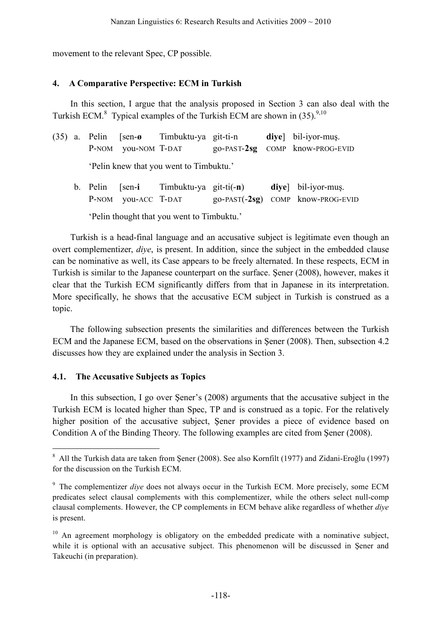movement to the relevant Spec, CP possible.

#### **4. A Comparative Perspective: ECM in Turkish**

In this section, I argue that the analysis proposed in Section 3 can also deal with the Turkish ECM. $8$  Typical examples of the Turkish ECM are shown in (35).  $9,10$ 

|  |                     | $(35)$ a. Pelin [sen- $\theta$ Timbuktu-ya git-ti-n |  | dive bil-iyor-mus.                |
|--|---------------------|-----------------------------------------------------|--|-----------------------------------|
|  | P-NOM you-NOM T-DAT |                                                     |  | $go-PAST-2sg$ COMP know-PROG-EVID |
|  |                     | 'Pelin knew that you went to Timbuktu.'             |  |                                   |

b. Pelin [sen-**i** Timbuktu-ya git-ti(-**n**) **diye**] bil-iyor-muş. P-NOM **you-ACC T-DAT** go-PAST(-2sg) COMP know-PROG-EVID

'Pelin thought that you went to Timbuktu.'

Turkish is a head-final language and an accusative subject is legitimate even though an overt complementizer, *diye*, is present. In addition, since the subject in the embedded clause can be nominative as well, its Case appears to be freely alternated. In these respects, ECM in Turkish is similar to the Japanese counterpart on the surface. Şener (2008), however, makes it clear that the Turkish ECM significantly differs from that in Japanese in its interpretation. More specifically, he shows that the accusative ECM subject in Turkish is construed as a topic.

The following subsection presents the similarities and differences between the Turkish ECM and the Japanese ECM, based on the observations in Şener (2008). Then, subsection 4.2 discusses how they are explained under the analysis in Section 3.

#### **4.1. The Accusative Subjects as Topics**

In this subsection, I go over Şener's (2008) arguments that the accusative subject in the Turkish ECM is located higher than Spec, TP and is construed as a topic. For the relatively higher position of the accusative subject, Şener provides a piece of evidence based on Condition A of the Binding Theory. The following examples are cited from Şener (2008).

 <sup>8</sup> All the Turkish data are taken from Şener (2008). See also Kornfilt (1977) and Zidani-Eroğlu (1997) for the discussion on the Turkish ECM.

<sup>&</sup>lt;sup>9</sup> The complementizer *dive* does not always occur in the Turkish ECM. More precisely, some ECM predicates select clausal complements with this complementizer, while the others select null-comp clausal complements. However, the CP complements in ECM behave alike regardless of whether *diye* is present.

<sup>&</sup>lt;sup>10</sup> An agreement morphology is obligatory on the embedded predicate with a nominative subject, while it is optional with an accusative subject. This phenomenon will be discussed in Şener and Takeuchi (in preparation).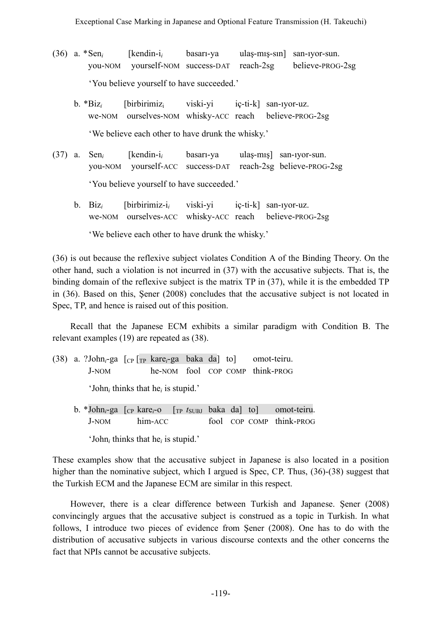- (36) a. \*Sen*<sup>i</sup>* [kendin-i*<sup>i</sup>* basarı-ya ulaş-mış-sın] san-ıyor-sun. you-NOM yourself-NOM success-DAT reach-2sg believe-PROG-2sg 'You believe yourself to have succeeded.'
	- b. \*Biz*<sup>i</sup>* [birbirimizi viski-yi iç-ti-k] san-ıyor-uz. we-NOM ourselves-NOM whisky-ACC reach believe-PROG-2sg 'We believe each other to have drunk the whisky.'
- (37) a. Sen*<sup>i</sup>* [kendin-i*<sup>i</sup>* basarı-ya ulaş-mış] san-ıyor-sun. you-NOM yourself-ACC success-DAT reach-2sg believe-PROG-2sg 'You believe yourself to have succeeded.'
	- b. Biz*<sup>i</sup>* [birbirimiz-i*<sup>i</sup>* viski-yi iç-ti-k] san-ıyor-uz. we-NOM ourselves-ACC whisky-ACC reach believe-PROG-2sg

'We believe each other to have drunk the whisky.'

(36) is out because the reflexive subject violates Condition A of the Binding Theory. On the other hand, such a violation is not incurred in (37) with the accusative subjects. That is, the binding domain of the reflexive subject is the matrix TP in (37), while it is the embedded TP in (36). Based on this, Şener (2008) concludes that the accusative subject is not located in Spec, TP, and hence is raised out of this position.

Recall that the Japanese ECM exhibits a similar paradigm with Condition B. The relevant examples (19) are repeated as (38).

- (38) a. ?John*i*-ga [CP [TP kare*i*-ga baka da] to] omot-teiru. J-NOM he-NOM fool COP COMP think-PROG 'John*<sup>i</sup>* thinks that he*<sup>i</sup>* is stupid.'
	- b. \*John*i*-ga [CP kare*i*-o [TP *t*SUBJ baka da] to] omot-teiru. J-NOM him-ACC fool COP COMP think-PROG

'John*<sup>i</sup>* thinks that he*<sup>i</sup>* is stupid.'

These examples show that the accusative subject in Japanese is also located in a position higher than the nominative subject, which I argued is Spec, CP. Thus, (36)-(38) suggest that the Turkish ECM and the Japanese ECM are similar in this respect.

However, there is a clear difference between Turkish and Japanese. Şener (2008) convincingly argues that the accusative subject is construed as a topic in Turkish. In what follows, I introduce two pieces of evidence from Şener (2008). One has to do with the distribution of accusative subjects in various discourse contexts and the other concerns the fact that NPIs cannot be accusative subjects.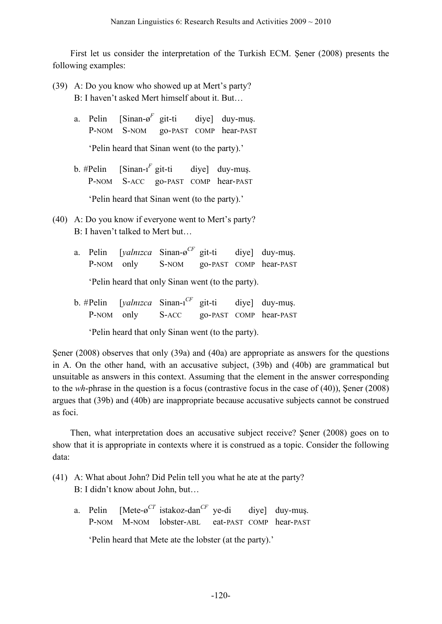First let us consider the interpretation of the Turkish ECM. Şener (2008) presents the following examples:

- (39) A: Do you know who showed up at Mert's party? B: I haven't asked Mert himself about it. But…
	- a. Pelin [Sinan-ø*<sup>F</sup>* git-ti diye] duy-muş. P-NOM S-NOM go-PAST COMP hear-PAST

'Pelin heard that Sinan went (to the party).'

b. #Pelin  $[\text{Sinan-1}^F \text{git-ti}]$ diye] duy-mus. P-NOM S-ACC go-PAST COMP hear-PAST

'Pelin heard that Sinan went (to the party).'

- (40) A: Do you know if everyone went to Mert's party? B: I haven't talked to Mert but…
	- a. Pelin [*yalnızca* Sinan-ø*CF* git-ti diye] duy-muş. P-NOM only S-NOM go-PAST COMP hear-PAST

'Pelin heard that only Sinan went (to the party).

b. #Pelin [*yalnızca* Sinan-ı diye] duy-mus. P-NOM only S-ACC go-PAST COMP hear-PAST

'Pelin heard that only Sinan went (to the party).

Sener (2008) observes that only (39a) and (40a) are appropriate as answers for the questions in A. On the other hand, with an accusative subject, (39b) and (40b) are grammatical but unsuitable as answers in this context. Assuming that the element in the answer corresponding to the *wh*-phrase in the question is a focus (contrastive focus in the case of (40)), Şener (2008) argues that (39b) and (40b) are inappropriate because accusative subjects cannot be construed as foci.

Then, what interpretation does an accusative subject receive? Şener (2008) goes on to show that it is appropriate in contexts where it is construed as a topic. Consider the following data:

- (41) A: What about John? Did Pelin tell you what he ate at the party? B: I didn't know about John, but…
	- a. Pelin [Mete-ø*CT* istakoz-dan*CF* diye] duy-muş. P-NOM M-NOM lobster-ABL eat-PAST COMP hear-PAST

'Pelin heard that Mete ate the lobster (at the party).'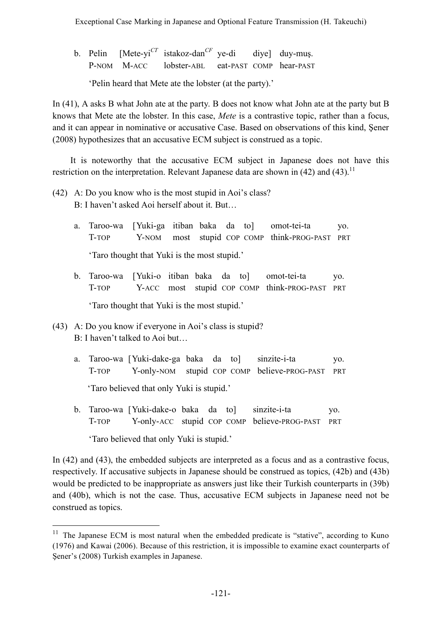b. Pelin [Mete-yi*CT* istakoz-dan*CF* ye-di diye] duy-muş. P-NOM M-ACC lobster-ABL eat-PAST COMP hear-PAST

'Pelin heard that Mete ate the lobster (at the party).'

In (41), A asks B what John ate at the party. B does not know what John ate at the party but B knows that Mete ate the lobster. In this case, *Mete* is a contrastive topic, rather than a focus, and it can appear in nominative or accusative Case. Based on observations of this kind, Şener (2008) hypothesizes that an accusative ECM subject is construed as a topic.

It is noteworthy that the accusative ECM subject in Japanese does not have this restriction on the interpretation. Relevant Japanese data are shown in  $(42)$  and  $(43)$ .<sup>11</sup>

- (42) A: Do you know who is the most stupid in Aoi's class? B: I haven't asked Aoi herself about it. But…
	- a. Taroo-wa [Yuki-ga itiban baka da to] omot-tei-ta yo. T-TOP Y-NOM most stupid COP COMP think-PROG-PAST PRT 'Taro thought that Yuki is the most stupid.'
	- b. Taroo-wa [Yuki-o itiban baka da to] omot-tei-ta yo. T-TOP Y-ACC most stupid COP COMP think-PROG-PAST PRT 'Taro thought that Yuki is the most stupid.'
- (43) A: Do you know if everyone in Aoi's class is stupid? B: I haven't talked to Aoi but…
	- a. Taroo-wa [Yuki-dake-ga baka da to] sinzite-i-ta yo. T-TOP Y-only-NOM stupid COP COMP believe-PROG-PAST PRT 'Taro believed that only Yuki is stupid.'
	- b. Taroo-wa [Yuki-dake-o baka da to] sinzite-i-ta yo. T-TOP Y-only-ACC stupid COP COMP believe-PROG-PAST PRT 'Taro believed that only Yuki is stupid.'

In (42) and (43), the embedded subjects are interpreted as a focus and as a contrastive focus, respectively. If accusative subjects in Japanese should be construed as topics, (42b) and (43b) would be predicted to be inappropriate as answers just like their Turkish counterparts in (39b) and (40b), which is not the case. Thus, accusative ECM subjects in Japanese need not be construed as topics.

 $11$  The Japanese ECM is most natural when the embedded predicate is "stative", according to Kuno (1976) and Kawai (2006). Because of this restriction, it is impossible to examine exact counterparts of Şener's (2008) Turkish examples in Japanese.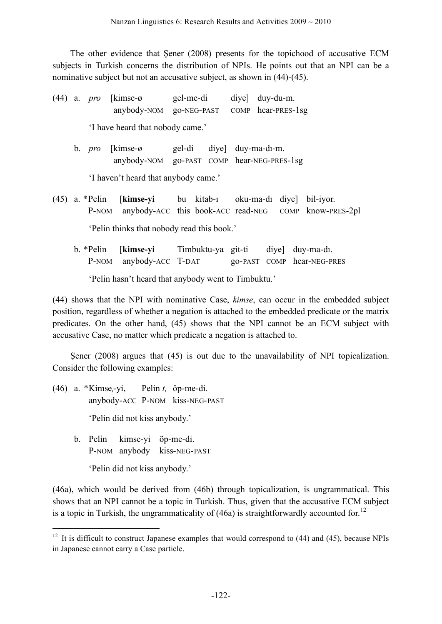The other evidence that Şener (2008) presents for the topichood of accusative ECM subjects in Turkish concerns the distribution of NPIs. He points out that an NPI can be a nominative subject but not an accusative subject, as shown in (44)-(45).

(44) a. *pro* [kimse-ø gel-me-di diye] duy-du-m. [anybody-NOM go-NEG-PAST COMP hear-PRES-1sg

'I have heard that nobody came.'

b. *pro* [kimse-ø gel-di diye] duy-ma-dı-m. [anybody-NOM go-PAST COMP hear-NEG-PRES-1sg

'I haven't heard that anybody came.'

- (45) a. \*Pelin [**kimse-yi** bu kitab-ı oku-ma-dı diye] bil-iyor. P-NOM anybody-ACC this book-ACC read-NEG COMP know-PRES-2pl 'Pelin thinks that nobody read this book.'
	- b. \*Pelin [**kimse-yi** Timbuktu-ya git-ti diye] duy-ma-dı. P-NOM anybody-ACC T-DAT go-PAST COMP hear-NEG-PRES

'Pelin hasn't heard that anybody went to Timbuktu.'

(44) shows that the NPI with nominative Case, *kimse*, can occur in the embedded subject position, regardless of whether a negation is attached to the embedded predicate or the matrix predicates. On the other hand, (45) shows that the NPI cannot be an ECM subject with accusative Case, no matter which predicate a negation is attached to.

Şener (2008) argues that (45) is out due to the unavailability of NPI topicalization. Consider the following examples:

- (46) a. \*Kimse*i*-yi, Pelin *ti* öp-me-di. anybody-ACC P-NOM kiss-NEG-PAST 'Pelin did not kiss anybody.'
	- b. Pelin kimse-yi öp-me-di. P-NOM anybody kiss-NEG-PAST

'Pelin did not kiss anybody.'

(46a), which would be derived from (46b) through topicalization, is ungrammatical. This shows that an NPI cannot be a topic in Turkish. Thus, given that the accusative ECM subject is a topic in Turkish, the ungrammaticality of  $(46a)$  is straightforwardly accounted for.<sup>12</sup>

 $12$  It is difficult to construct Japanese examples that would correspond to (44) and (45), because NPIs in Japanese cannot carry a Case particle.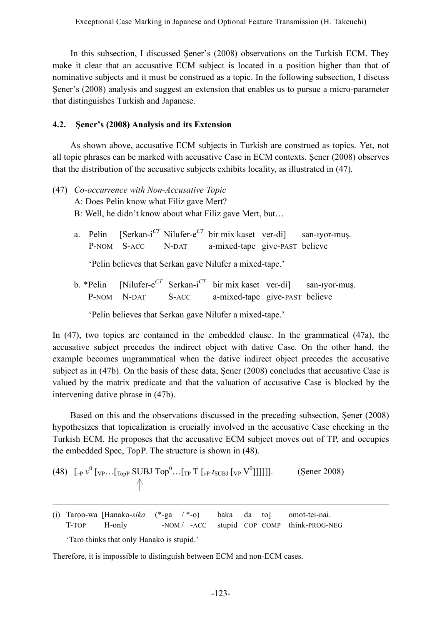In this subsection, I discussed Şener's (2008) observations on the Turkish ECM. They make it clear that an accusative ECM subject is located in a position higher than that of nominative subjects and it must be construed as a topic. In the following subsection, I discuss Şener's (2008) analysis and suggest an extension that enables us to pursue a micro-parameter that distinguishes Turkish and Japanese.

### **4.2. Şener's (2008) Analysis and its Extension**

As shown above, accusative ECM subjects in Turkish are construed as topics. Yet, not all topic phrases can be marked with accusative Case in ECM contexts. Şener (2008) observes that the distribution of the accusative subjects exhibits locality, as illustrated in (47).

- (47) *Co-occurrence with Non-Accusative Topic* A: Does Pelin know what Filiz gave Mert? B: Well, he didn't know about what Filiz gave Mert, but…
	- a. Pelin [Serkan-i *CT* Nilufer-e *CT* bir mix kaset ver-di] san-ıyor-muş. P-NOM S-ACC N-DAT a-mixed-tape give-PAST believe

'Pelin believes that Serkan gave Nilufer a mixed-tape.'

b. \*Pelin [Nilufer-e *CT* Serkan-i *CT* bir mix kaset ver-di] san-ıyor-muş. P-NOM N-DAT S-ACC a-mixed-tape give-PAST believe

'Pelin believes that Serkan gave Nilufer a mixed-tape.'

In (47), two topics are contained in the embedded clause. In the grammatical (47a), the accusative subject precedes the indirect object with dative Case. On the other hand, the example becomes ungrammatical when the dative indirect object precedes the accusative subject as in (47b). On the basis of these data, Şener (2008) concludes that accusative Case is valued by the matrix predicate and that the valuation of accusative Case is blocked by the intervening dative phrase in (47b).

Based on this and the observations discussed in the preceding subsection, Şener (2008) hypothesizes that topicalization is crucially involved in the accusative Case checking in the Turkish ECM. He proposes that the accusative ECM subject moves out of TP, and occupies the embedded Spec, TopP. The structure is shown in (48).

(48) 
$$
\left[\begin{array}{cc} \sqrt{2} & \sqrt{2} \\ \sqrt{2} & \sqrt{2} \end{array} \right]
$$
 [VP...  $\left[\begin{array}{cc} \sqrt{2} & \sqrt{2} \\ \sqrt{2} & \sqrt{2} \end{array} \right]$  [VP] [VP] [VP] [VP] [VP] [VP] [VP] [VP] [VP]

(i) Taroo-wa [Hanako-*sika* (\*-ga / \*-o) baka da to] omot-tei-nai. T-TOP H-only  $-H\text{-NOM}/$  -ACC stupid COP COMP think-PROG-NEG

'Taro thinks that only Hanako is stupid.'

<u>.</u>

Therefore, it is impossible to distinguish between ECM and non-ECM cases.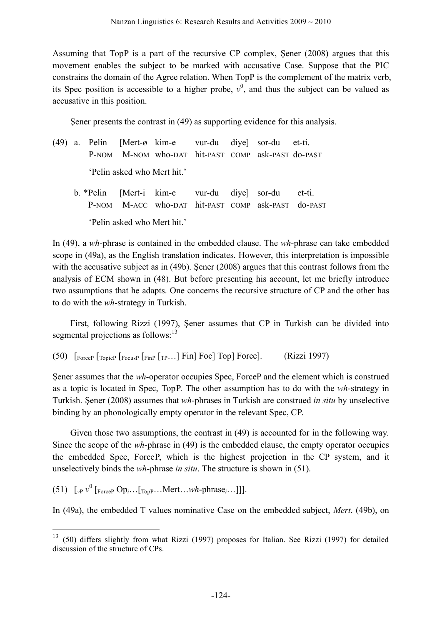Assuming that TopP is a part of the recursive CP complex, Şener (2008) argues that this movement enables the subject to be marked with accusative Case. Suppose that the PIC constrains the domain of the Agree relation. When TopP is the complement of the matrix verb, its Spec position is accessible to a higher probe,  $v^0$ , and thus the subject can be valued as accusative in this position.

Şener presents the contrast in (49) as supporting evidence for this analysis.

- (49) a. Pelin [Mert-ø kim-e vur-du diye] sor-du et-ti. P-NOM M-NOM who-DAT hit-PAST COMP ask-PAST do-PAST 'Pelin asked who Mert hit.'
	- b. \*Pelin [Mert-i kim-e vur-du diye] sor-du et-ti. P-NOM M-ACC who-DAT hit-PAST COMP ask-PAST do-PAST 'Pelin asked who Mert hit.'

In (49), a *wh*-phrase is contained in the embedded clause. The *wh*-phrase can take embedded scope in (49a), as the English translation indicates. However, this interpretation is impossible with the accusative subject as in (49b). Sener (2008) argues that this contrast follows from the analysis of ECM shown in (48). But before presenting his account, let me briefly introduce two assumptions that he adapts. One concerns the recursive structure of CP and the other has to do with the *wh*-strategy in Turkish.

First, following Rizzi (1997), Şener assumes that CP in Turkish can be divided into segmental projections as follows:<sup>13</sup>

(50) [ForceP [TopicP [FocusP [FinP [TP…] Fin] Foc] Top] Force]. (Rizzi 1997)

Şener assumes that the *wh*-operator occupies Spec, ForceP and the element which is construed as a topic is located in Spec, TopP. The other assumption has to do with the *wh*-strategy in Turkish. Şener (2008) assumes that *wh*-phrases in Turkish are construed *in situ* by unselective binding by an phonologically empty operator in the relevant Spec, CP.

Given those two assumptions, the contrast in (49) is accounted for in the following way. Since the scope of the *wh*-phrase in (49) is the embedded clause, the empty operator occupies the embedded Spec, ForceP, which is the highest projection in the CP system, and it unselectively binds the *wh*-phrase *in situ*. The structure is shown in (51).

 $(51)$   $\left[ {}_{v}P v^{0} \left[ {}_{\text{ForceP}} Op_{i} \dots {}_{\text{TopP}} \dots {}_{\text{Mert}} \dots w_{h} \text{-phrase}_{i} \dots {}_{\text{M}} \right] \right]$ .

In (49a), the embedded T values nominative Case on the embedded subject, *Mert*. (49b), on

 <sup>13</sup> (50) differs slightly from what Rizzi (1997) proposes for Italian. See Rizzi (1997) for detailed discussion of the structure of CPs.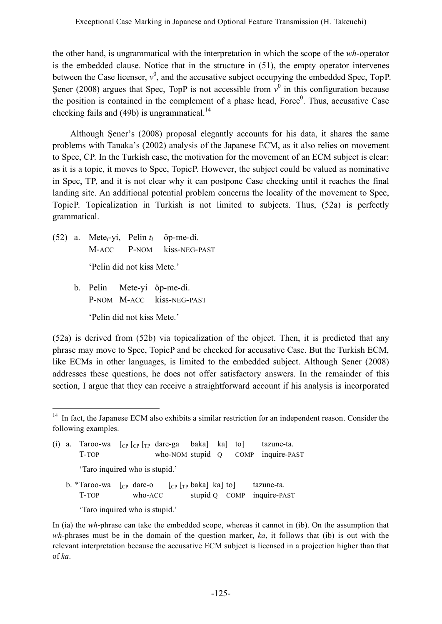the other hand, is ungrammatical with the interpretation in which the scope of the *wh*-operator is the embedded clause. Notice that in the structure in (51), the empty operator intervenes between the Case licenser,  $v^0$ , and the accusative subject occupying the embedded Spec, TopP. Şener (2008) argues that Spec, TopP is not accessible from  $v^0$  in this configuration because the position is contained in the complement of a phase head, Force<sup>0</sup>. Thus, accusative Case checking fails and (49b) is ungrammatical.<sup>14</sup>

Although Şener's (2008) proposal elegantly accounts for his data, it shares the same problems with Tanaka's (2002) analysis of the Japanese ECM, as it also relies on movement to Spec, CP. In the Turkish case, the motivation for the movement of an ECM subject is clear: as it is a topic, it moves to Spec, TopicP. However, the subject could be valued as nominative in Spec, TP, and it is not clear why it can postpone Case checking until it reaches the final landing site. An additional potential problem concerns the locality of the movement to Spec, TopicP. Topicalization in Turkish is not limited to subjects. Thus, (52a) is perfectly grammatical.

- (52) a. Mete*i*-yi, Pelin *ti* öp-me-di. M-ACC P-NOM kiss-NEG-PAST 'Pelin did not kiss Mete.'
	- b. Pelin Mete-yi öp-me-di. P-NOM M-ACC kiss-NEG-PAST 'Pelin did not kiss Mete.'

(52a) is derived from (52b) via topicalization of the object. Then, it is predicted that any phrase may move to Spec, TopicP and be checked for accusative Case. But the Turkish ECM, like ECMs in other languages, is limited to the embedded subject. Although Şener (2008) addresses these questions, he does not offer satisfactory answers. In the remainder of this section, I argue that they can receive a straightforward account if his analysis is incorporated

<sup>&</sup>lt;sup>14</sup> In fact, the Japanese ECM also exhibits a similar restriction for an independent reason. Consider the following examples.

|                                | (i) a. Taroo-wa $\lceil_{CP} \rceil_{CP}$ $\lceil_{TP}$ dare-ga baka] ka] to]<br>T-TOP |         |                                                                                                                                          |               |  |  | tazune-ta.<br>who-NOM stupid Q COMP inquire-PAST |  |  |
|--------------------------------|----------------------------------------------------------------------------------------|---------|------------------------------------------------------------------------------------------------------------------------------------------|---------------|--|--|--------------------------------------------------|--|--|
|                                | 'Taro inquired who is stupid.'                                                         |         |                                                                                                                                          |               |  |  |                                                  |  |  |
|                                | b. *Taroo-wa<br>T-TOP                                                                  | who-ACC | $\begin{bmatrix} \n\text{C}P \text{ dare-o} \n\end{bmatrix}$ $\begin{bmatrix} \n\text{C}P \text{[rp baka]} \text{ka} \n\end{bmatrix}$ to | stupid Q COMP |  |  | tazune-ta.<br>inquire-PAST                       |  |  |
| 'Taro inquired who is stupid.' |                                                                                        |         |                                                                                                                                          |               |  |  |                                                  |  |  |

In (ia) the *wh*-phrase can take the embedded scope, whereas it cannot in (ib). On the assumption that *wh*-phrases must be in the domain of the question marker, *ka*, it follows that (ib) is out with the relevant interpretation because the accusative ECM subject is licensed in a projection higher than that of *ka*.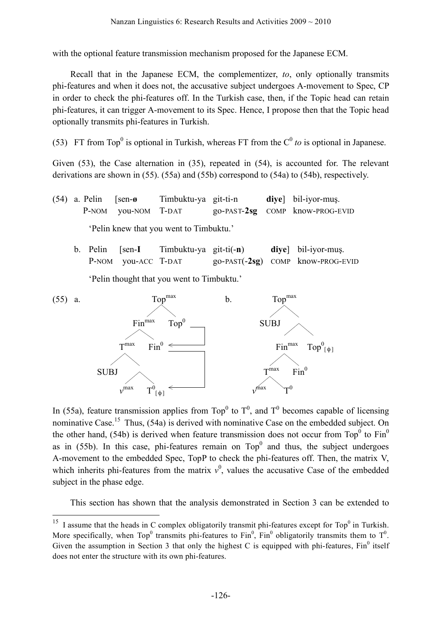with the optional feature transmission mechanism proposed for the Japanese ECM.

Recall that in the Japanese ECM, the complementizer, *to*, only optionally transmits phi-features and when it does not, the accusative subject undergoes A-movement to Spec, CP in order to check the phi-features off. In the Turkish case, then, if the Topic head can retain phi-features, it can trigger A-movement to its Spec. Hence, I propose then that the Topic head optionally transmits phi-features in Turkish.

(53) FT from Top<sup>0</sup> is optional in Turkish, whereas FT from the  $C^0$  *to* is optional in Japanese.

Given (53), the Case alternation in (35), repeated in (54), is accounted for. The relevant derivations are shown in (55). (55a) and (55b) correspond to (54a) to (54b), respectively.

(54) a. Pelin [sen-**ø** Timbuktu-ya git-ti-n **diye**] bil-iyor-muş. P-NOM you-NOM T-DAT go-PAST-2sg COMP know-PROG-EVID 'Pelin knew that you went to Timbuktu.'

b. Pelin [sen-**I** Timbuktu-ya git-ti(-**n**) **diye**] bil-iyor-muş. P-NOM you-ACC T-DAT go-PAST(-2sg) COMP know-PROG-EVID

'Pelin thought that you went to Timbuktu.'



In (55a), feature transmission applies from Top<sup>0</sup> to  $T<sup>0</sup>$ , and T<sup>0</sup> becomes capable of licensing nominative Case.<sup>15</sup> Thus, (54a) is derived with nominative Case on the embedded subject. On the other hand, (54b) is derived when feature transmission does not occur from  $\text{Top}^0$  to  $\text{Fin}^0$ as in  $(55b)$ . In this case, phi-features remain on  $Top<sup>0</sup>$  and thus, the subject undergoes A-movement to the embedded Spec, TopP to check the phi-features off. Then, the matrix V, which inherits phi-features from the matrix  $v^0$ , values the accusative Case of the embedded subject in the phase edge.

This section has shown that the analysis demonstrated in Section 3 can be extended to

<sup>&</sup>lt;sup>15</sup> I assume that the heads in C complex obligatorily transmit phi-features except for Top<sup>0</sup> in Turkish. More specifically, when Top<sup>0</sup> transmits phi-features to Fin<sup>0</sup>, Fin<sup>0</sup> obligatorily transmits them to T<sup>0</sup>. Given the assumption in Section 3 that only the highest C is equipped with phi-features,  $Fin^0$  itself does not enter the structure with its own phi-features.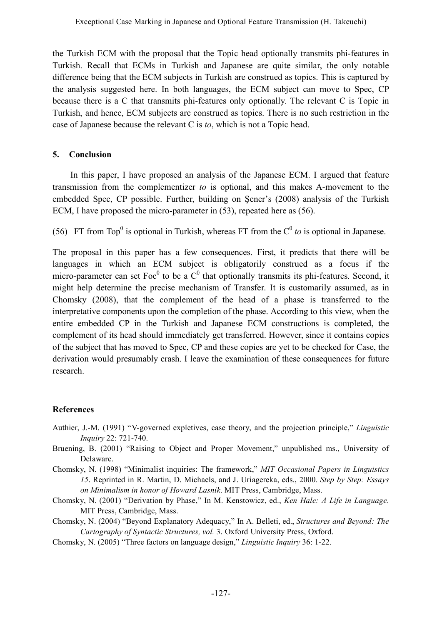the Turkish ECM with the proposal that the Topic head optionally transmits phi-features in Turkish. Recall that ECMs in Turkish and Japanese are quite similar, the only notable difference being that the ECM subjects in Turkish are construed as topics. This is captured by the analysis suggested here. In both languages, the ECM subject can move to Spec, CP because there is a C that transmits phi-features only optionally. The relevant C is Topic in Turkish, and hence, ECM subjects are construed as topics. There is no such restriction in the case of Japanese because the relevant C is *to*, which is not a Topic head.

## **5. Conclusion**

In this paper, I have proposed an analysis of the Japanese ECM. I argued that feature transmission from the complementizer *to* is optional, and this makes A-movement to the embedded Spec, CP possible. Further, building on Şener's (2008) analysis of the Turkish ECM, I have proposed the micro-parameter in (53), repeated here as (56).

(56) FT from Top<sup>0</sup> is optional in Turkish, whereas FT from the  $C^0$  *to* is optional in Japanese.

The proposal in this paper has a few consequences. First, it predicts that there will be languages in which an ECM subject is obligatorily construed as a focus if the micro-parameter can set  $Foc^0$  to be a  $C^0$  that optionally transmits its phi-features. Second, it might help determine the precise mechanism of Transfer. It is customarily assumed, as in Chomsky (2008), that the complement of the head of a phase is transferred to the interpretative components upon the completion of the phase. According to this view, when the entire embedded CP in the Turkish and Japanese ECM constructions is completed, the complement of its head should immediately get transferred. However, since it contains copies of the subject that has moved to Spec, CP and these copies are yet to be checked for Case, the derivation would presumably crash. I leave the examination of these consequences for future research.

## **References**

- Authier, J.-M. (1991) "V-governed expletives, case theory, and the projection principle," *Linguistic Inquiry* 22: 721-740.
- Bruening, B. (2001) "Raising to Object and Proper Movement," unpublished ms., University of Delaware.
- Chomsky, N. (1998) "Minimalist inquiries: The framework," *MIT Occasional Papers in Linguistics 15*. Reprinted in R. Martin, D. Michaels, and J. Uriagereka, eds., 2000. *Step by Step: Essays on Minimalism in honor of Howard Lasnik*. MIT Press, Cambridge, Mass.
- Chomsky, N. (2001) "Derivation by Phase," In M. Kenstowicz, ed., *Ken Hale: A Life in Language*. MIT Press, Cambridge, Mass.
- Chomsky, N. (2004) "Beyond Explanatory Adequacy," In A. Belleti, ed., *Structures and Beyond: The Cartography of Syntactic Structures, vol.* 3. Oxford University Press, Oxford.
- Chomsky, N. (2005) "Three factors on language design," *Linguistic Inquiry* 36: 1-22.